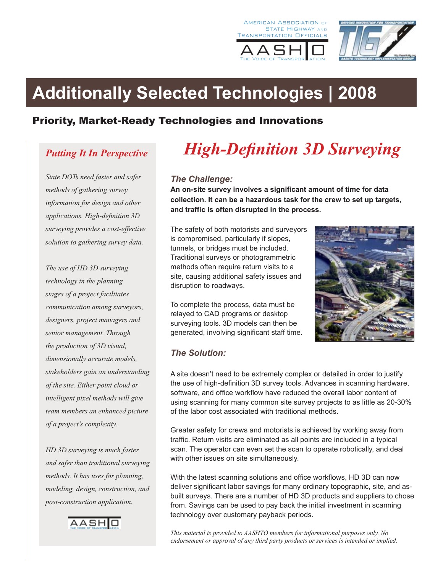





# **Additionally Selected Technologies | 2008**

## Priority, Market-Ready Technologies and Innovations

# *Putting It In Perspective*

*State DOTs need faster and safer methods of gathering survey information for design and other applications. High-definition 3D surveying provides a cost-effective solution to gathering survey data.* 

*The use of HD 3D surveying technology in the planning stages of a project facilitates communication among surveyors, designers, project managers and senior management. Through the production of 3D visual, dimensionally accurate models, stakeholders gain an understanding of the site. Either point cloud or intelligent pixel methods will give team members an enhanced picture of a project's complexity.*

*HD 3D surveying is much faster and safer than traditional surveying methods. It has uses for planning, modeling, design, construction, and post-construction application.*



# *High-Definition 3D Surveying*

#### *The Challenge:*

**An on-site survey involves a significant amount of time for data collection. It can be a hazardous task for the crew to set up targets, and traffic is often disrupted in the process.** 

The safety of both motorists and surveyors is compromised, particularly if slopes, tunnels, or bridges must be included. Traditional surveys or photogrammetric methods often require return visits to a site, causing additional safety issues and disruption to roadways.

To complete the process, data must be relayed to CAD programs or desktop surveying tools. 3D models can then be generated, involving significant staff time.



### *The Solution:*

A site doesn't need to be extremely complex or detailed in order to justify the use of high-definition 3D survey tools. Advances in scanning hardware, software, and office workflow have reduced the overall labor content of using scanning for many common site survey projects to as little as 20-30% of the labor cost associated with traditional methods.

Greater safety for crews and motorists is achieved by working away from traffic. Return visits are eliminated as all points are included in a typical scan. The operator can even set the scan to operate robotically, and deal with other issues on site simultaneously.

With the latest scanning solutions and office workflows, HD 3D can now deliver significant labor savings for many ordinary topographic, site, and asbuilt surveys. There are a number of HD 3D products and suppliers to chose from. Savings can be used to pay back the initial investment in scanning technology over customary payback periods.

*This material is provided to AASHTO members for informational purposes only. No endorsement or approval of any third party products or services is intended or implied.*